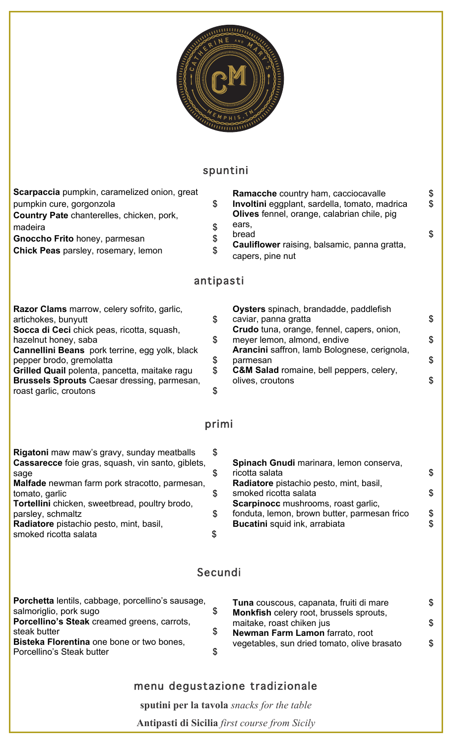

### spuntini

| <b>Scarpaccia</b> pumpkin, caramelized onion, great<br>pumpkin cure, gorgonzola<br>Country Pate chanterelles, chicken, pork,<br>madeira<br>Gnoccho Frito honey, parmesan<br>Chick Peas parsley, rosemary, lemon                                                                                                                                  | \$<br>\$<br>\$<br>\$<br>antipasti | Ramacche country ham, cacciocavalle<br>Involtini eggplant, sardella, tomato, madrica<br>Olives fennel, orange, calabrian chile, pig<br>ears,<br>bread<br>Cauliflower raising, balsamic, panna gratta,<br>capers, pine nut                                                          | \$<br>\$<br>\$       |
|--------------------------------------------------------------------------------------------------------------------------------------------------------------------------------------------------------------------------------------------------------------------------------------------------------------------------------------------------|-----------------------------------|------------------------------------------------------------------------------------------------------------------------------------------------------------------------------------------------------------------------------------------------------------------------------------|----------------------|
| Razor Clams marrow, celery sofrito, garlic,<br>artichokes, bunyutt<br>Socca di Ceci chick peas, ricotta, squash,<br>hazelnut honey, saba<br>Cannellini Beans pork terrine, egg yolk, black<br>pepper brodo, gremolatta<br>Grilled Quail polenta, pancetta, maitake ragu<br>Brussels Sprouts Caesar dressing, parmesan,<br>roast garlic, croutons | \$<br>\$<br>\$<br>\$<br>\$        | Oysters spinach, brandadde, paddlefish<br>caviar, panna gratta<br>Crudo tuna, orange, fennel, capers, onion,<br>meyer lemon, almond, endive<br>Arancini saffron, lamb Bolognese, cerignola,<br>parmesan<br><b>C&amp;M Salad romaine, bell peppers, celery,</b><br>olives, croutons | \$<br>\$<br>\$<br>\$ |
|                                                                                                                                                                                                                                                                                                                                                  | primi                             |                                                                                                                                                                                                                                                                                    |                      |
| Rigatoni maw maw's gravy, sunday meatballs<br><b>Cassarecce</b> foie gras, squash, vin santo, giblets,<br>sage<br>Malfade newman farm pork stracotto, parmesan,<br>tomato, garlic<br>Tortellini chicken, sweetbread, poultry brodo,<br>parsley, schmaltz<br>Radiatore pistachio pesto, mint, basil,<br>smoked ricotta salata                     | \$<br>\$<br>\$<br>\$<br>\$        | Spinach Gnudi marinara, lemon conserva,<br>ricotta salata<br>Radiatore pistachio pesto, mint, basil,<br>smoked ricotta salata<br>Scarpinocc mushrooms, roast garlic,<br>fonduta, lemon, brown butter, parmesan frico<br>Bucatini squid ink, arrabiata                              | \$<br>\$<br>\$<br>\$ |
|                                                                                                                                                                                                                                                                                                                                                  | Secundi                           |                                                                                                                                                                                                                                                                                    |                      |
| Porchetta lentils, cabbage, porcellino's sausage,                                                                                                                                                                                                                                                                                                |                                   | Tuna couscous, capanata, fruiti di mare<br>Monkfish celery root, brussels sprouts,                                                                                                                                                                                                 | \$                   |

### menu degustazione tradizionale

**sputini per la tavola** *snacks for the table*

**Antipasti di Sicilia** *first course from Sicily*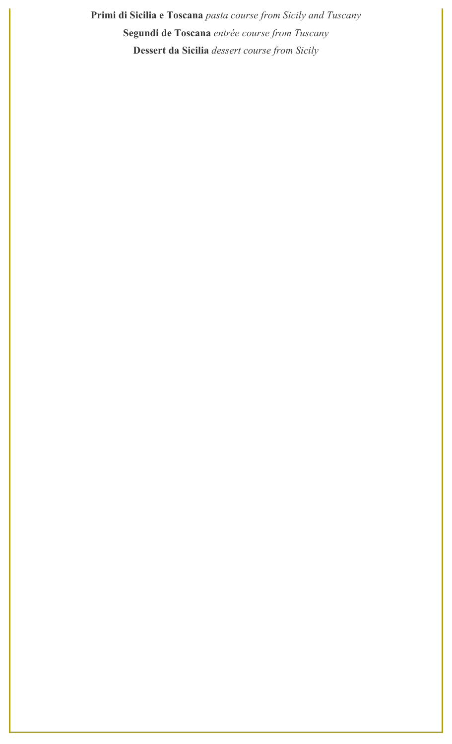**Primi di Sicilia e Toscana** *pasta course from Sicily and Tuscany* **Segundi de Toscana** *entrée course from Tuscany* **Dessert da Sicilia** *dessert course from Sicily*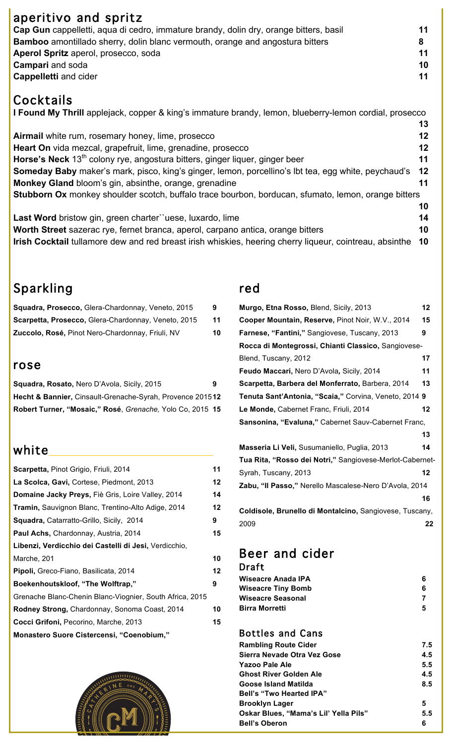#### aperitivo and spritz **Cap Gun** cappelletti, aqua di cedro, immature brandy, dolin dry, orange bitters, basil **11 Bamboo** amontillado sherry, dolin blanc vermouth, orange and angostura bitters **8 Aperol Spritz** aperol, prosecco, soda **11 Campari** and soda **10 Cappelletti** and cider **11**

## Cocktails

**I Found My Thrill** applejack, copper & king's immature brandy, lemon, blueberry-lemon cordial, prosecco

**Airmail** white rum, rosemary honey, lime, prosecco **12 Heart On** vida mezcal, grapefruit, lime, grenadine, prosecco **12 Horse's Neck** 13<sup>th</sup> colony rye, angostura bitters, ginger liquer, ginger beer **11 Someday Baby** maker's mark, pisco, king's ginger, lemon, porcellino's lbt tea, egg white, peychaud's **12 Monkey Gland** bloom's gin, absinthe, orange, grenadine **11 Stubborn Ox** monkey shoulder scotch, buffalo trace bourbon, borducan, sfumato, lemon, orange bitters **10**

**Last Word** bristow gin, green charter``uese, luxardo, lime **14 Worth Street** sazerac rye, fernet branca, aperol, carpano antica, orange bitters **10 Irish Cocktail** tullamore dew and red breast irish whiskies, heering cherry liqueur, cointreau, absinthe **10**

## Sparkling

| Squadra, Prosecco, Glera-Chardonnay, Veneto, 2015   | 9  |
|-----------------------------------------------------|----|
| Scarpetta, Prosecco, Glera-Chardonnay, Veneto, 2015 | 11 |
| Zuccolo, Rosé, Pinot Nero-Chardonnay, Friuli, NV    | 10 |

#### rose

| <b>Squadra, Rosato, Nero D'Avola, Sicily, 2015</b>        | 9 |
|-----------------------------------------------------------|---|
| Hecht & Bannier, Cinsault-Grenache-Syrah, Provence 201512 |   |
| Robert Turner, "Mosaic," Rosé, Grenache, Yolo Co, 2015 15 |   |

## white

| Scarpetta, Pinot Grigio, Friuli, 2014                    | 11 |
|----------------------------------------------------------|----|
| La Scolca, Gavi, Cortese, Piedmont, 2013                 | 12 |
| Domaine Jacky Preys, Fiè Gris, Loire Valley, 2014        | 14 |
| Tramin, Sauvignon Blanc, Trentino-Alto Adige, 2014       | 12 |
| Squadra, Catarratto-Grillo, Sicily, 2014                 | 9  |
| Paul Achs, Chardonnay, Austria, 2014                     | 15 |
| Libenzi, Verdicchio dei Castelli di Jesi, Verdicchio,    |    |
| Marche, 201                                              | 10 |
| <b>Pipoli,</b> Greco-Fiano, Basilicata, 2014             | 12 |
| Boekenhoutskloof, "The Wolftrap,"                        | 9  |
| Grenache Blanc-Chenin Blanc-Viognier, South Africa, 2015 |    |
| Rodney Strong, Chardonnay, Sonoma Coast, 2014            | 10 |
| Cocci Grifoni, Pecorino, Marche, 2013                    | 15 |
| Monastero Suore Cistercensi, "Coenobium,"                |    |
|                                                          |    |



#### red

| Murgo, Etna Rosso, Blend, Sicily, 2013                   |    |  |
|----------------------------------------------------------|----|--|
| Cooper Mountain, Reserve, Pinot Noir, W.V., 2014         | 15 |  |
| Farnese, "Fantini," Sangiovese, Tuscany, 2013            | 9  |  |
| Rocca di Montegrossi, Chianti Classico, Sangiovese-      |    |  |
| Blend, Tuscany, 2012                                     | 17 |  |
| Feudo Maccari, Nero D'Avola, Sicily, 2014                | 11 |  |
| Scarpetta, Barbera del Monferrato, Barbera, 2014         | 13 |  |
| Tenuta Sant'Antonia, "Scaia," Corvina, Veneto, 2014 9    |    |  |
| Le Monde, Cabernet Franc, Friuli, 2014                   | 12 |  |
| Sansonina, "Evaluna," Cabernet Sauv-Cabernet Franc,      |    |  |
|                                                          | 13 |  |
| Masseria Li Veli, Susumaniello, Puglia, 2013             | 14 |  |
| Tua Rita, "Rosso dei Notri," Sangiovese-Merlot-Cabernet- |    |  |
| Syrah, Tuscany, 2013                                     | 12 |  |
| Zabu, "Il Passo," Nerello Mascalese-Nero D'Avola, 2014   |    |  |
|                                                          | 16 |  |
| Coldisole, Brunello di Montalcino, Sangiovese, Tuscany,  |    |  |
| 2009                                                     | 22 |  |

**13**

# Beer and cider

| Draft                     |   |
|---------------------------|---|
| Wiseacre Anada IPA        |   |
| <b>Wiseacre Tiny Bomb</b> |   |
| <b>Wiseacre Seasonal</b>  |   |
| <b>Birra Morretti</b>     | 5 |
|                           |   |

Bottles and Cans

| <b>Rambling Route Cider</b>           | 7.5 |
|---------------------------------------|-----|
| Sierra Nevade Otra Vez Gose           | 4.5 |
| Yazoo Pale Ale                        | 5.5 |
| <b>Ghost River Golden Ale</b>         | 4.5 |
| Goose Island Matilda                  | 8.5 |
| <b>Bell's "Two Hearted IPA"</b>       |     |
| <b>Brooklyn Lager</b>                 | 5   |
| Oskar Blues, "Mama's Lil' Yella Pils" | 5.5 |
| <b>Bell's Oberon</b>                  | 6   |